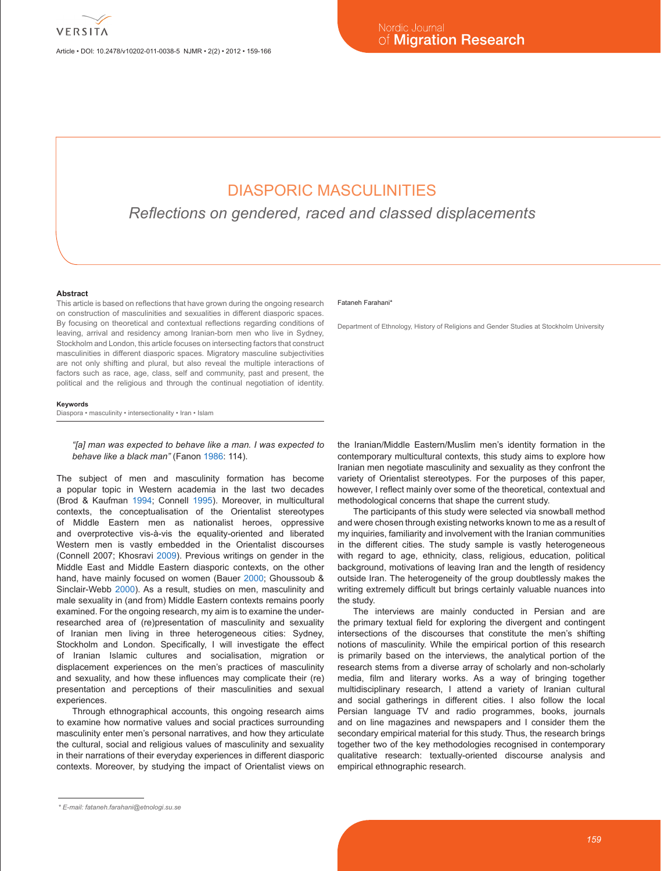

Article • DOI: 10.2478/v10202-011-0038-5 NJMR • 2(2) • 2012 • 159-166

# DIASPORIC MASCULINITIES

*Reflections on gendered, raced and classed displacements*

### **Abstract**

This article is based on reflections that have grown during the ongoing research on construction of masculinities and sexualities in different diasporic spaces. By focusing on theoretical and contextual reflections regarding conditions of leaving, arrival and residency among Iranian-born men who live in Sydney, Stockholm and London, this article focuses on intersecting factors that construct masculinities in different diasporic spaces. Migratory masculine subjectivities are not only shifting and plural, but also reveal the multiple interactions of factors such as race, age, class, self and community, past and present, the political and the religious and through the continual negotiation of identity.

#### **Keywords**

Diaspora • masculinity • intersectionality • Iran • Islam

*"[a] man was expected to behave like a man. I was expected to behave like a black man"* (Fanon [1986](#page-6-0): 114).

The subject of men and masculinity formation has become a popular topic in Western academia in the last two decades (Brod & Kaufman [1994](#page-6-1); Connell [1995\)](#page-6-2). Moreover, in multicultural contexts, the conceptualisation of the Orientalist stereotypes of Middle Eastern men as nationalist heroes, oppressive and overprotective vis-à-vis the equality-oriented and liberated Western men is vastly embedded in the Orientalist discourses (Connell 2007; Khosravi [2009](#page-7-0)). Previous writings on gender in the Middle East and Middle Eastern diasporic contexts, on the other hand, have mainly focused on women (Bauer [2000;](#page-6-3) Ghoussoub & Sinclair-Webb [2000\)](#page-7-1). As a result, studies on men, masculinity and male sexuality in (and from) Middle Eastern contexts remains poorly examined. For the ongoing research, my aim is to examine the underresearched area of (re)presentation of masculinity and sexuality of Iranian men living in three heterogeneous cities: Sydney, Stockholm and London. Specifically, I will investigate the effect of Iranian Islamic cultures and socialisation, migration or displacement experiences on the men's practices of masculinity and sexuality, and how these influences may complicate their (re) presentation and perceptions of their masculinities and sexual experiences.

Through ethnographical accounts, this ongoing research aims to examine how normative values and social practices surrounding masculinity enter men's personal narratives, and how they articulate the cultural, social and religious values of masculinity and sexuality in their narrations of their everyday experiences in different diasporic contexts. Moreover, by studying the impact of Orientalist views on

### Fataneh Farahani<sup>\*</sup>

Department of Ethnology, History of Religions and Gender Studies at Stockholm University

the Iranian/Middle Eastern/Muslim men's identity formation in the contemporary multicultural contexts, this study aims to explore how Iranian men negotiate masculinity and sexuality as they confront the variety of Orientalist stereotypes. For the purposes of this paper, however, I reflect mainly over some of the theoretical, contextual and methodological concerns that shape the current study.

The participants of this study were selected via snowball method and were chosen through existing networks known to me as a result of my inquiries, familiarity and involvement with the Iranian communities in the different cities. The study sample is vastly heterogeneous with regard to age, ethnicity, class, religious, education, political background, motivations of leaving Iran and the length of residency outside Iran. The heterogeneity of the group doubtlessly makes the writing extremely difficult but brings certainly valuable nuances into the study.

The interviews are mainly conducted in Persian and are the primary textual field for exploring the divergent and contingent intersections of the discourses that constitute the men's shifting notions of masculinity. While the empirical portion of this research is primarily based on the interviews, the analytical portion of the research stems from a diverse array of scholarly and non-scholarly media, film and literary works. As a way of bringing together multidisciplinary research, I attend a variety of Iranian cultural and social gatherings in different cities. I also follow the local Persian language TV and radio programmes, books, journals and on line magazines and newspapers and I consider them the secondary empirical material for this study. Thus, the research brings together two of the key methodologies recognised in contemporary qualitative research: textually-oriented discourse analysis and empirical ethnographic research.

*<sup>\*</sup> E-mail: fataneh.farahani@etnologi.su.se*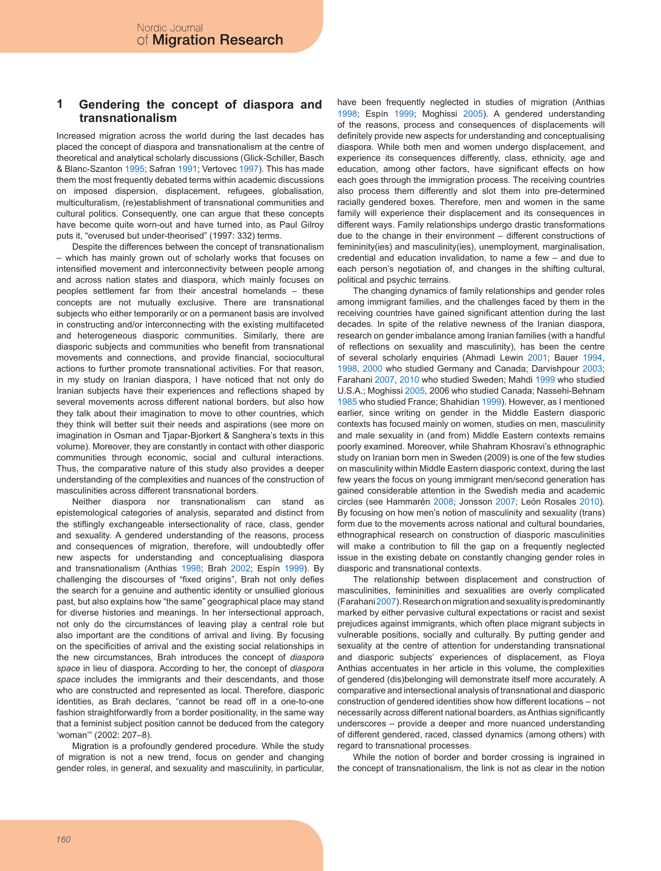#### **1 Gendering the concept of diaspora and transnationalism**

Increased migration across the world during the last decades has placed the concept of diaspora and transnationalism at the centre of theoretical and analytical scholarly discussions (Glick-Schiller, Basch & Blanc-Szanton [1995](#page-7-2); Safran [1991;](#page-7-3) Vertovec [1997](#page-7-4)). This has made them the most frequently debated terms within academic discussions on imposed dispersion, displacement, refugees, globalisation, multiculturalism, (re)establishment of transnational communities and cultural politics. Consequently, one can argue that these concepts have become quite worn-out and have turned into, as Paul Gilroy puts it, "overused but under-theorised" (1997: 332) terms.

Despite the differences between the concept of transnationalism – which has mainly grown out of scholarly works that focuses on intensified movement and interconnectivity between people among and across nation states and diaspora, which mainly focuses on peoples settlement far from their ancestral homelands – these concepts are not mutually exclusive. There are transnational subjects who either temporarily or on a permanent basis are involved in constructing and/or interconnecting with the existing multifaceted and heterogeneous diasporic communities. Similarly, there are diasporic subjects and communities who benefit from transnational movements and connections, and provide financial, sociocultural actions to further promote transnational activities. For that reason, in my study on Iranian diaspora, I have noticed that not only do Iranian subjects have their experiences and reflections shaped by several movements across different national borders, but also how they talk about their imagination to move to other countries, which they think will better suit their needs and aspirations (see more on imagination in Osman and Tjapar-Bjorkert & Sanghera's texts in this volume). Moreover, they are constantly in contact with other diasporic communities through economic, social and cultural interactions. Thus, the comparative nature of this study also provides a deeper understanding of the complexities and nuances of the construction of masculinities across different transnational borders.

Neither diaspora nor transnationalism can stand as epistemological categories of analysis, separated and distinct from the stiflingly exchangeable intersectionality of race, class, gender and sexuality. A gendered understanding of the reasons, process and consequences of migration, therefore, will undoubtedly offer new aspects for understanding and conceptualising diaspora and transnationalism (Anthias [1998](#page-6-4); Brah [2002](#page-6-5); Espín [1999\)](#page-6-6). By challenging the discourses of "fixed origins", Brah not only defies the search for a genuine and authentic identity or unsullied glorious past, but also explains how "the same" geographical place may stand for diverse histories and meanings. In her intersectional approach, not only do the circumstances of leaving play a central role but also important are the conditions of arrival and living. By focusing on the specificities of arrival and the existing social relationships in the new circumstances, Brah introduces the concept of *diaspora space* in lieu of diaspora. According to her, the concept of *diaspora space* includes the immigrants and their descendants, and those who are constructed and represented as local. Therefore, diasporic identities, as Brah declares, "cannot be read off in a one-to-one fashion straightforwardly from a border positionality, in the same way that a feminist subject position cannot be deduced from the category 'woman'" (2002: 207–8).

Migration is a profoundly gendered procedure. While the study of migration is not a new trend, focus on gender and changing gender roles, in general, and sexuality and masculinity, in particular, have been frequently neglected in studies of migration (Anthias [1998](#page-6-4); Espín [1999](#page-6-6); Moghissi [2005](#page-7-5)). A gendered understanding of the reasons, process and consequences of displacements will definitely provide new aspects for understanding and conceptualising diaspora. While both men and women undergo displacement, and experience its consequences differently, class, ethnicity, age and education, among other factors, have significant effects on how each goes through the immigration process. The receiving countries also process them differently and slot them into pre-determined racially gendered boxes. Therefore, men and women in the same family will experience their displacement and its consequences in different ways. Family relationships undergo drastic transformations due to the change in their environment – different constructions of femininity(ies) and masculinity(ies), unemployment, marginalisation, credential and education invalidation, to name a few – and due to each person's negotiation of, and changes in the shifting cultural, political and psychic terrains.

The changing dynamics of family relationships and gender roles among immigrant families, and the challenges faced by them in the receiving countries have gained significant attention during the last decades. In spite of the relative newness of the Iranian diaspora, research on gender imbalance among Iranian families (with a handful of reflections on sexuality and masculinity), has been the centre of several scholarly enquiries (Ahmadi Lewin [2001](#page-6-7); Bauer [1994](#page-6-8), [1998](#page-6-9), [2000](#page-6-3) who studied Germany and Canada; Darvishpour [2003](#page-6-10); Farahani [2007](#page-6-11), [2010](#page-6-12) who studied Sweden; Mahdi [1999](#page-7-6) who studied U.S.A.; Moghissi [2005,](#page-7-5) 2006 who studied Canada; Nassehi-Behnam [1985](#page-7-7) who studied France; Shahidian [1999\)](#page-7-8). However, as I mentioned earlier, since writing on gender in the Middle Eastern diasporic contexts has focused mainly on women, studies on men, masculinity and male sexuality in (and from) Middle Eastern contexts remains poorly examined. Moreover, while Shahram Khosravi's ethnographic study on Iranian born men in Sweden (2009) is one of the few studies on masculinity within Middle Eastern diasporic context, during the last few years the focus on young immigrant men/second generation has gained considerable attention in the Swedish media and academic circles (see Hammarén [2008;](#page-7-9) Jonsson [2007](#page-7-10); León Rosales [2010](#page-7-11)). By focusing on how men's notion of masculinity and sexuality (trans) form due to the movements across national and cultural boundaries, ethnographical research on construction of diasporic masculinities will make a contribution to fill the gap on a frequently neglected issue in the existing debate on constantly changing gender roles in diasporic and transnational contexts.

The relationship between displacement and construction of masculinities, femininities and sexualities are overly complicated (Farahani [2007](#page-6-11)). Research on migration and sexuality is predominantly marked by either pervasive cultural expectations or racist and sexist prejudices against immigrants, which often place migrant subjects in vulnerable positions, socially and culturally. By putting gender and sexuality at the centre of attention for understanding transnational and diasporic subjects' experiences of displacement, as Floya Anthias accentuates in her article in this volume, the complexities of gendered (dis)belonging will demonstrate itself more accurately. A comparative and intersectional analysis of transnational and diasporic construction of gendered identities show how different locations – not necessarily across different national boarders, as Anthias significantly underscores – provide a deeper and more nuanced understanding of different gendered, raced, classed dynamics (among others) with regard to transnational processes.

While the notion of border and border crossing is ingrained in the concept of transnationalism, the link is not as clear in the notion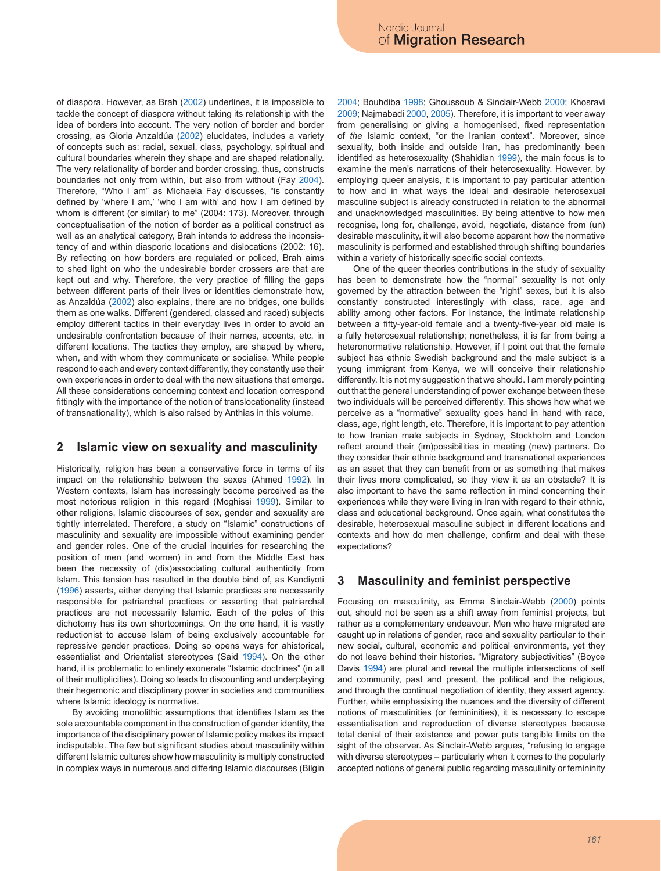of diaspora. However, as Brah [\(2002\)](#page-6-5) underlines, it is impossible to tackle the concept of diaspora without taking its relationship with the idea of borders into account. The very notion of border and border crossing, as Gloria Anzaldúa [\(2002](#page-6-13)) elucidates, includes a variety of concepts such as: racial, sexual, class, psychology, spiritual and cultural boundaries wherein they shape and are shaped relationally. The very relationality of border and border crossing, thus, constructs boundaries not only from within, but also from without (Fay [2004](#page-7-12)). Therefore, "Who I am" as Michaela Fay discusses, "is constantly defined by 'where I am,' 'who I am with' and how I am defined by whom is different (or similar) to me" (2004: 173). Moreover, through conceptualisation of the notion of border as a political construct as well as an analytical category, Brah intends to address the inconsistency of and within diasporic locations and dislocations (2002: 16). By reflecting on how borders are regulated or policed, Brah aims to shed light on who the undesirable border crossers are that are kept out and why. Therefore, the very practice of filling the gaps between different parts of their lives or identities demonstrate how, as Anzaldúa ([2002\)](#page-6-13) also explains, there are no bridges, one builds them as one walks. Different (gendered, classed and raced) subjects employ different tactics in their everyday lives in order to avoid an undesirable confrontation because of their names, accents, etc. in different locations. The tactics they employ, are shaped by where, when, and with whom they communicate or socialise. While people respond to each and every context differently, they constantly use their own experiences in order to deal with the new situations that emerge. All these considerations concerning context and location correspond fittingly with the importance of the notion of translocationality (instead of transnationality), which is also raised by Anthias in this volume.

### **2 Islamic view on sexuality and masculinity**

Historically, religion has been a conservative force in terms of its impact on the relationship between the sexes (Ahmed [1992](#page-6-14)). In Western contexts, Islam has increasingly become perceived as the most notorious religion in this regard (Moghissi [1999](#page-7-13)). Similar to other religions, Islamic discourses of sex, gender and sexuality are tightly interrelated. Therefore, a study on "Islamic" constructions of masculinity and sexuality are impossible without examining gender and gender roles. One of the crucial inquiries for researching the position of men (and women) in and from the Middle East has been the necessity of (dis)associating cultural authenticity from Islam. This tension has resulted in the double bind of, as Kandiyoti ([1996](#page-7-14)) asserts, either denying that Islamic practices are necessarily responsible for patriarchal practices or asserting that patriarchal practices are not necessarily Islamic. Each of the poles of this dichotomy has its own shortcomings. On the one hand, it is vastly reductionist to accuse Islam of being exclusively accountable for repressive gender practices. Doing so opens ways for ahistorical, essentialist and Orientalist stereotypes (Said [1994](#page-7-15)). On the other hand, it is problematic to entirely exonerate "Islamic doctrines" (in all of their multiplicities). Doing so leads to discounting and underplaying their hegemonic and disciplinary power in societies and communities where Islamic ideology is normative.

By avoiding monolithic assumptions that identifies Islam as the sole accountable component in the construction of gender identity, the importance of the disciplinary power of Islamic policy makes its impact indisputable. The few but significant studies about masculinity within different Islamic cultures show how masculinity is multiply constructed in complex ways in numerous and differing Islamic discourses (Bilgin

[2004](#page-6-15); Bouhdiba [1998;](#page-6-16) Ghoussoub & Sinclair-Webb [2000](#page-7-1); Khosravi [2009;](#page-7-0) Najmabadi [2000](#page-7-16), [2005](#page-7-17)). Therefore, it is important to veer away from generalising or giving a homogenised, fixed representation of *the* Islamic context, "or the Iranian context". Moreover, since sexuality, both inside and outside Iran, has predominantly been identified as heterosexuality (Shahidian [1999\)](#page-7-8), the main focus is to examine the men's narrations of their heterosexuality. However, by employing queer analysis, it is important to pay particular attention to how and in what ways the ideal and desirable heterosexual masculine subject is already constructed in relation to the abnormal and unacknowledged masculinities. By being attentive to how men recognise, long for, challenge, avoid, negotiate, distance from (un) desirable masculinity, it will also become apparent how the normative masculinity is performed and established through shifting boundaries within a variety of historically specific social contexts.

One of the queer theories contributions in the study of sexuality has been to demonstrate how the "normal" sexuality is not only governed by the attraction between the "right" sexes, but it is also constantly constructed interestingly with class, race, age and ability among other factors. For instance, the intimate relationship between a fifty-year-old female and a twenty-five-year old male is a fully heterosexual relationship; nonetheless, it is far from being a heteronormative relationship. However, if I point out that the female subject has ethnic Swedish background and the male subject is a young immigrant from Kenya, we will conceive their relationship differently. It is not my suggestion that we should. I am merely pointing out that the general understanding of power exchange between these two individuals will be perceived differently. This shows how what we perceive as a "normative" sexuality goes hand in hand with race, class, age, right length, etc. Therefore, it is important to pay attention to how Iranian male subjects in Sydney, Stockholm and London reflect around their (im)possibilities in meeting (new) partners. Do they consider their ethnic background and transnational experiences as an asset that they can benefit from or as something that makes their lives more complicated, so they view it as an obstacle? It is also important to have the same reflection in mind concerning their experiences while they were living in Iran with regard to their ethnic, class and educational background. Once again, what constitutes the desirable, heterosexual masculine subject in different locations and contexts and how do men challenge, confirm and deal with these expectations?

## **3 Masculinity and feminist perspective**

Focusing on masculinity, as Emma Sinclair-Webb ([2000\)](#page-7-18) points out, should not be seen as a shift away from feminist projects, but rather as a complementary endeavour. Men who have migrated are caught up in relations of gender, race and sexuality particular to their new social, cultural, economic and political environments, yet they do not leave behind their histories. "Migratory subjectivities" (Boyce Davis [1994](#page-6-17)) are plural and reveal the multiple intersections of self and community, past and present, the political and the religious, and through the continual negotiation of identity, they assert agency. Further, while emphasising the nuances and the diversity of different notions of masculinities (or femininities), it is necessary to escape essentialisation and reproduction of diverse stereotypes because total denial of their existence and power puts tangible limits on the sight of the observer. As Sinclair-Webb argues, "refusing to engage with diverse stereotypes – particularly when it comes to the popularly accepted notions of general public regarding masculinity or femininity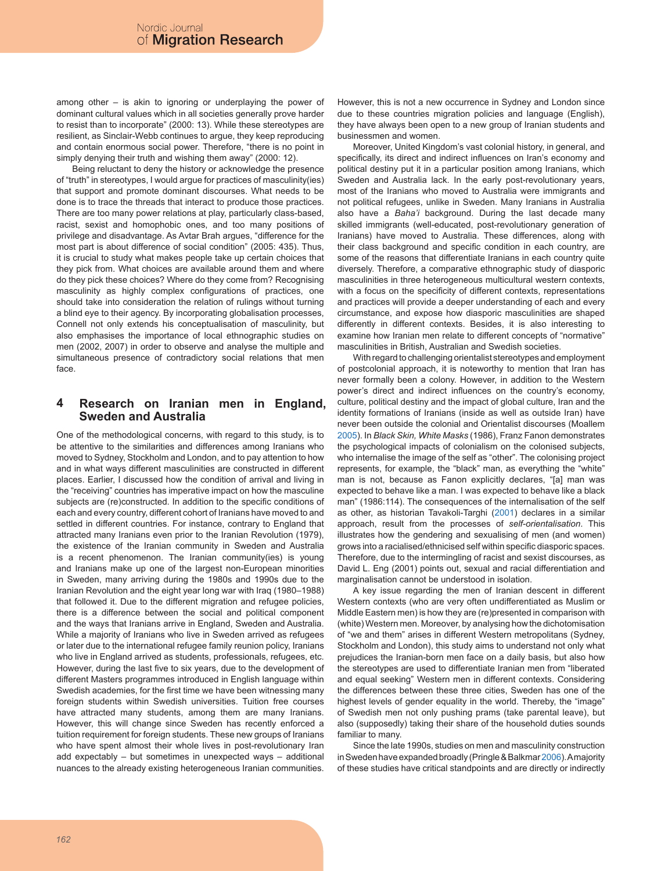among other – is akin to ignoring or underplaying the power of dominant cultural values which in all societies generally prove harder to resist than to incorporate" (2000: 13). While these stereotypes are resilient, as Sinclair-Webb continues to argue, they keep reproducing and contain enormous social power. Therefore, "there is no point in simply denying their truth and wishing them away" (2000: 12).

Being reluctant to deny the history or acknowledge the presence of "truth" in stereotypes, I would argue for practices of masculinity(ies) that support and promote dominant discourses. What needs to be done is to trace the threads that interact to produce those practices. There are too many power relations at play, particularly class-based, racist, sexist and homophobic ones, and too many positions of privilege and disadvantage. As Avtar Brah argues, "difference for the most part is about difference of social condition" (2005: 435). Thus, it is crucial to study what makes people take up certain choices that they pick from. What choices are available around them and where do they pick these choices? Where do they come from? Recognising masculinity as highly complex configurations of practices, one should take into consideration the relation of rulings without turning a blind eye to their agency. By incorporating globalisation processes, Connell not only extends his conceptualisation of masculinity, but also emphasises the importance of local ethnographic studies on men (2002, 2007) in order to observe and analyse the multiple and simultaneous presence of contradictory social relations that men face.

#### **4 Research on Iranian men in England, Sweden and Australia**

One of the methodological concerns, with regard to this study, is to be attentive to the similarities and differences among Iranians who moved to Sydney, Stockholm and London, and to pay attention to how and in what ways different masculinities are constructed in different places. Earlier, I discussed how the condition of arrival and living in the "receiving" countries has imperative impact on how the masculine subjects are (re)constructed. In addition to the specific conditions of each and every country, different cohort of Iranians have moved to and settled in different countries. For instance, contrary to England that attracted many Iranians even prior to the Iranian Revolution (1979), the existence of the Iranian community in Sweden and Australia is a recent phenomenon. The Iranian community(ies) is young and Iranians make up one of the largest non-European minorities in Sweden, many arriving during the 1980s and 1990s due to the Iranian Revolution and the eight year long war with Iraq (1980–1988) that followed it. Due to the different migration and refugee policies, there is a difference between the social and political component and the ways that Iranians arrive in England, Sweden and Australia. While a majority of Iranians who live in Sweden arrived as refugees or later due to the international refugee family reunion policy, Iranians who live in England arrived as students, professionals, refugees, etc. However, during the last five to six years, due to the development of different Masters programmes introduced in English language within Swedish academies, for the first time we have been witnessing many foreign students within Swedish universities. Tuition free courses have attracted many students, among them are many Iranians. However, this will change since Sweden has recently enforced a tuition requirement for foreign students. These new groups of Iranians who have spent almost their whole lives in post-revolutionary Iran add expectably – but sometimes in unexpected ways – additional nuances to the already existing heterogeneous Iranian communities.

However, this is not a new occurrence in Sydney and London since due to these countries migration policies and language (English), they have always been open to a new group of Iranian students and businessmen and women.

Moreover, United Kingdom's vast colonial history, in general, and specifically, its direct and indirect influences on Iran's economy and political destiny put it in a particular position among Iranians, which Sweden and Australia lack. In the early post-revolutionary years, most of the Iranians who moved to Australia were immigrants and not political refugees, unlike in Sweden. Many Iranians in Australia also have a *Baha'i* background. During the last decade many skilled immigrants (well-educated, post-revolutionary generation of Iranians) have moved to Australia. These differences, along with their class background and specific condition in each country, are some of the reasons that differentiate Iranians in each country quite diversely. Therefore, a comparative ethnographic study of diasporic masculinities in three heterogeneous multicultural western contexts, with a focus on the specificity of different contexts, representations and practices will provide a deeper understanding of each and every circumstance, and expose how diasporic masculinities are shaped differently in different contexts. Besides, it is also interesting to examine how Iranian men relate to different concepts of "normative" masculinities in British, Australian and Swedish societies.

With regard to challenging orientalist stereotypes and employment of postcolonial approach, it is noteworthy to mention that Iran has never formally been a colony. However, in addition to the Western power's direct and indirect influences on the country's economy, culture, political destiny and the impact of global culture, Iran and the identity formations of Iranians (inside as well as outside Iran) have never been outside the colonial and Orientalist discourses (Moallem [2005\)](#page-7-19). In *Black Skin, White Masks* (1986), Franz Fanon demonstrates the psychological impacts of colonialism on the colonised subjects, who internalise the image of the self as "other". The colonising project represents, for example, the "black" man, as everything the "white" man is not, because as Fanon explicitly declares, "[a] man was expected to behave like a man. I was expected to behave like a black man" (1986:114). The consequences of the internalisation of the self as other, as historian Tavakoli-Targhi ([2001\)](#page-7-20) declares in a similar approach, result from the processes of *self-orientalisation*. This illustrates how the gendering and sexualising of men (and women) grows into a racialised/ethnicised self within specific diasporic spaces. Therefore, due to the intermingling of racist and sexist discourses, as David L. Eng (2001) points out, sexual and racial differentiation and marginalisation cannot be understood in isolation.

A key issue regarding the men of Iranian descent in different Western contexts (who are very often undifferentiated as Muslim or Middle Eastern men) is how they are (re)presented in comparison with (white) Western men. Moreover, by analysing how the dichotomisation of "we and them" arises in different Western metropolitans (Sydney, Stockholm and London), this study aims to understand not only what prejudices the Iranian-born men face on a daily basis, but also how the stereotypes are used to differentiate Iranian men from "liberated and equal seeking" Western men in different contexts. Considering the differences between these three cities, Sweden has one of the highest levels of gender equality in the world. Thereby, the "image" of Swedish men not only pushing prams (take parental leave), but also (supposedly) taking their share of the household duties sounds familiar to many.

Since the late 1990s, studies on men and masculinity construction in Sweden have expanded broadly (Pringle & Balkmar [2006\)](#page-7-21). A majority of these studies have critical standpoints and are directly or indirectly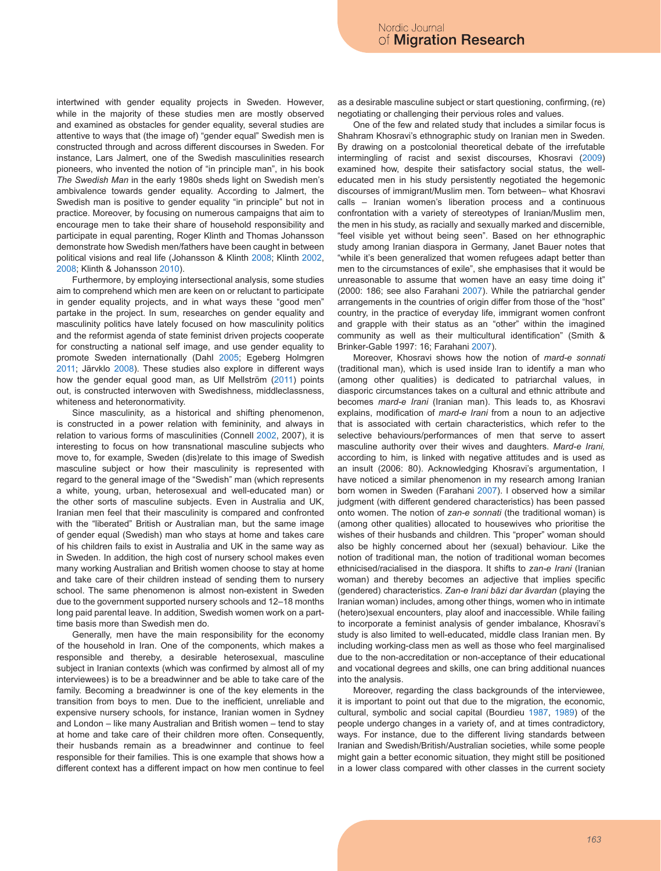intertwined with gender equality projects in Sweden. However, while in the majority of these studies men are mostly observed and examined as obstacles for gender equality, several studies are attentive to ways that (the image of) "gender equal" Swedish men is constructed through and across different discourses in Sweden. For instance, Lars Jalmert, one of the Swedish masculinities research pioneers, who invented the notion of "in principle man", in his book *The Swedish Man* in the early 1980s sheds light on Swedish men's ambivalence towards gender equality. According to Jalmert, the Swedish man is positive to gender equality "in principle" but not in practice. Moreover, by focusing on numerous campaigns that aim to encourage men to take their share of household responsibility and participate in equal parenting, Roger Klinth and Thomas Johansson demonstrate how Swedish men/fathers have been caught in between political visions and real life (Johansson & Klinth [2008;](#page-7-22) Klinth [2002](#page-7-23), [2008;](#page-7-24) Klinth & Johansson [2010\)](#page-7-25).

Furthermore, by employing intersectional analysis, some studies aim to comprehend which men are keen on or reluctant to participate in gender equality projects, and in what ways these "good men" partake in the project. In sum, researches on gender equality and masculinity politics have lately focused on how masculinity politics and the reformist agenda of state feminist driven projects cooperate for constructing a national self image, and use gender equality to promote Sweden internationally (Dahl [2005](#page-6-18); Egeberg Holmgren [2011](#page-6-19); Järvklo [2008\)](#page-7-26). These studies also explore in different ways how the gender equal good man, as Ulf Mellström [\(2011](#page-7-27)) points out, is constructed interwoven with Swedishness, middleclassness, whiteness and heteronormativity.

Since masculinity, as a historical and shifting phenomenon, is constructed in a power relation with femininity, and always in relation to various forms of masculinities (Connell [2002](#page-6-20), 2007), it is interesting to focus on how transnational masculine subjects who move to, for example, Sweden (dis)relate to this image of Swedish masculine subject or how their masculinity is represented with regard to the general image of the "Swedish" man (which represents a white, young, urban, heterosexual and well-educated man) or the other sorts of masculine subjects. Even in Australia and UK, Iranian men feel that their masculinity is compared and confronted with the "liberated" British or Australian man, but the same image of gender equal (Swedish) man who stays at home and takes care of his children fails to exist in Australia and UK in the same way as in Sweden. In addition, the high cost of nursery school makes even many working Australian and British women choose to stay at home and take care of their children instead of sending them to nursery school. The same phenomenon is almost non-existent in Sweden due to the government supported nursery schools and 12–18 months long paid parental leave. In addition, Swedish women work on a parttime basis more than Swedish men do.

Generally, men have the main responsibility for the economy of the household in Iran. One of the components, which makes a responsible and thereby, a desirable heterosexual, masculine subject in Iranian contexts (which was confirmed by almost all of my interviewees) is to be a breadwinner and be able to take care of the family. Becoming a breadwinner is one of the key elements in the transition from boys to men. Due to the inefficient, unreliable and expensive nursery schools, for instance, Iranian women in Sydney and London – like many Australian and British women – tend to stay at home and take care of their children more often. Consequently, their husbands remain as a breadwinner and continue to feel responsible for their families. This is one example that shows how a different context has a different impact on how men continue to feel as a desirable masculine subject or start questioning, confirming, (re) negotiating or challenging their pervious roles and values.

One of the few and related study that includes a similar focus is Shahram Khosravi's ethnographic study on Iranian men in Sweden. By drawing on a postcolonial theoretical debate of the irrefutable intermingling of racist and sexist discourses, Khosravi ([2009\)](#page-7-0) examined how, despite their satisfactory social status, the welleducated men in his study persistently negotiated the hegemonic discourses of immigrant/Muslim men. Torn between– what Khosravi calls – Iranian women's liberation process and a continuous confrontation with a variety of stereotypes of Iranian/Muslim men, the men in his study, as racially and sexually marked and discernible, "feel visible yet without being seen". Based on her ethnographic study among Iranian diaspora in Germany, Janet Bauer notes that "while it's been generalized that women refugees adapt better than men to the circumstances of exile", she emphasises that it would be unreasonable to assume that women have an easy time doing it" (2000: 186; see also Farahani [2007\)](#page-6-11). While the patriarchal gender arrangements in the countries of origin differ from those of the "host" country, in the practice of everyday life, immigrant women confront and grapple with their status as an "other" within the imagined community as well as their multicultural identification" (Smith & Brinker-Gable 1997: 16; Farahani [2007\)](#page-6-11).

Moreover, Khosravi shows how the notion of *mard-e sonnati*  (traditional man), which is used inside Iran to identify a man who (among other qualities) is dedicated to patriarchal values, in diasporic circumstances takes on a cultural and ethnic attribute and becomes *mard-e Irani* (Iranian man). This leads to, as Khosravi explains, modification of *mard-e Irani* from a noun to an adjective that is associated with certain characteristics, which refer to the selective behaviours/performances of men that serve to assert masculine authority over their wives and daughters. *Mard-e Irani,*  according to him, is linked with negative attitudes and is used as an insult (2006: 80). Acknowledging Khosravi's argumentation, I have noticed a similar phenomenon in my research among Iranian born women in Sweden (Farahani [2007](#page-6-11)). I observed how a similar judgment (with different gendered characteristics) has been passed onto women. The notion of *zan-e sonnati* (the traditional woman) is (among other qualities) allocated to housewives who prioritise the wishes of their husbands and children. This "proper" woman should also be highly concerned about her (sexual) behaviour. Like the notion of traditional man, the notion of traditional woman becomes ethnicised/racialised in the diaspora. It shifts to *zan-e Irani* (Iranian woman) and thereby becomes an adjective that implies specific (gendered) characteristics. *Zan-e Irani bāzi dar āvardan* (playing the Iranian woman) includes, among other things, women who in intimate (hetero)sexual encounters, play aloof and inaccessible. While failing to incorporate a feminist analysis of gender imbalance, Khosravi's study is also limited to well-educated, middle class Iranian men. By including working-class men as well as those who feel marginalised due to the non-accreditation or non-acceptance of their educational and vocational degrees and skills, one can bring additional nuances into the analysis.

Moreover, regarding the class backgrounds of the interviewee, it is important to point out that due to the migration, the economic, cultural, symbolic and social capital (Bourdieu [1987](#page-6-21), [1989\)](#page-6-22) of the people undergo changes in a variety of, and at times contradictory, ways. For instance, due to the different living standards between Iranian and Swedish/British/Australian societies, while some people might gain a better economic situation, they might still be positioned in a lower class compared with other classes in the current society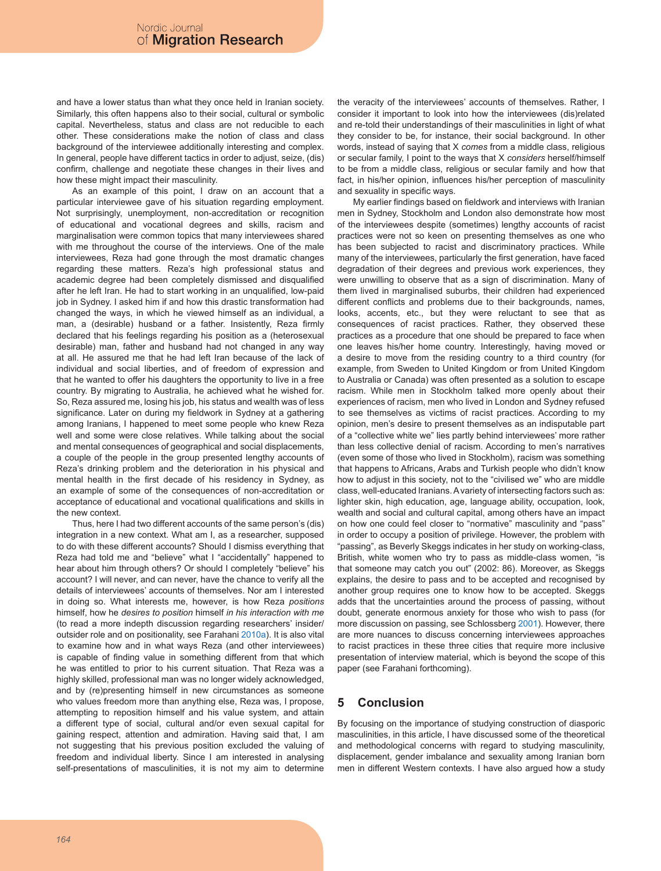and have a lower status than what they once held in Iranian society. Similarly, this often happens also to their social, cultural or symbolic capital. Nevertheless, status and class are not reducible to each other. These considerations make the notion of class and class background of the interviewee additionally interesting and complex. In general, people have different tactics in order to adjust, seize, (dis) confirm, challenge and negotiate these changes in their lives and how these might impact their masculinity.

As an example of this point, I draw on an account that a particular interviewee gave of his situation regarding employment. Not surprisingly, unemployment, non-accreditation or recognition of educational and vocational degrees and skills, racism and marginalisation were common topics that many interviewees shared with me throughout the course of the interviews. One of the male interviewees, Reza had gone through the most dramatic changes regarding these matters. Reza's high professional status and academic degree had been completely dismissed and disqualified after he left Iran. He had to start working in an unqualified, low-paid job in Sydney. I asked him if and how this drastic transformation had changed the ways, in which he viewed himself as an individual, a man, a (desirable) husband or a father. Insistently, Reza firmly declared that his feelings regarding his position as a (heterosexual desirable) man, father and husband had not changed in any way at all. He assured me that he had left Iran because of the lack of individual and social liberties, and of freedom of expression and that he wanted to offer his daughters the opportunity to live in a free country. By migrating to Australia, he achieved what he wished for. So, Reza assured me, losing his job, his status and wealth was of less significance. Later on during my fieldwork in Sydney at a gathering among Iranians, I happened to meet some people who knew Reza well and some were close relatives. While talking about the social and mental consequences of geographical and social displacements, a couple of the people in the group presented lengthy accounts of Reza's drinking problem and the deterioration in his physical and mental health in the first decade of his residency in Sydney, as an example of some of the consequences of non-accreditation or acceptance of educational and vocational qualifications and skills in the new context.

Thus, here I had two different accounts of the same person's (dis) integration in a new context. What am I, as a researcher, supposed to do with these different accounts? Should I dismiss everything that Reza had told me and "believe" what I "accidentally" happened to hear about him through others? Or should I completely "believe" his account? I will never, and can never, have the chance to verify all the details of interviewees' accounts of themselves. Nor am I interested in doing so. What interests me, however, is how Reza *positions*  himself, how he *desires to position* himself *in his interaction with me* (to read a more indepth discussion regarding researchers' insider/ outsider role and on positionality, see Farahani [2010](#page-6-12)a). It is also vital to examine how and in what ways Reza (and other interviewees) is capable of finding value in something different from that which he was entitled to prior to his current situation. That Reza was a highly skilled, professional man was no longer widely acknowledged, and by (re)presenting himself in new circumstances as someone who values freedom more than anything else, Reza was, I propose, attempting to reposition himself and his value system, and attain a different type of social, cultural and/or even sexual capital for gaining respect, attention and admiration. Having said that, I am not suggesting that his previous position excluded the valuing of freedom and individual liberty. Since I am interested in analysing self-presentations of masculinities, it is not my aim to determine the veracity of the interviewees' accounts of themselves. Rather, I consider it important to look into how the interviewees (dis)related and re-told their understandings of their masculinities in light of what they consider to be, for instance, their social background. In other words, instead of saying that X *comes* from a middle class, religious or secular family, I point to the ways that X *considers* herself/himself to be from a middle class, religious or secular family and how that fact, in his/her opinion, influences his/her perception of masculinity and sexuality in specific ways.

My earlier findings based on fieldwork and interviews with Iranian men in Sydney, Stockholm and London also demonstrate how most of the interviewees despite (sometimes) lengthy accounts of racist practices were not so keen on presenting themselves as one who has been subjected to racist and discriminatory practices. While many of the interviewees, particularly the first generation, have faced degradation of their degrees and previous work experiences, they were unwilling to observe that as a sign of discrimination. Many of them lived in marginalised suburbs, their children had experienced different conflicts and problems due to their backgrounds, names, looks, accents, etc., but they were reluctant to see that as consequences of racist practices. Rather, they observed these practices as a procedure that one should be prepared to face when one leaves his/her home country. Interestingly, having moved or a desire to move from the residing country to a third country (for example, from Sweden to United Kingdom or from United Kingdom to Australia or Canada) was often presented as a solution to escape racism. While men in Stockholm talked more openly about their experiences of racism, men who lived in London and Sydney refused to see themselves as victims of racist practices. According to my opinion, men's desire to present themselves as an indisputable part of a "collective white we" lies partly behind interviewees' more rather than less collective denial of racism. According to men's narratives (even some of those who lived in Stockholm), racism was something that happens to Africans, Arabs and Turkish people who didn't know how to adjust in this society, not to the "civilised we" who are middle class, well-educated Iranians. A variety of intersecting factors such as: lighter skin, high education, age, language ability, occupation, look, wealth and social and cultural capital, among others have an impact on how one could feel closer to "normative" masculinity and "pass" in order to occupy a position of privilege. However, the problem with "passing", as Beverly Skeggs indicates in her study on working-class, British, white women who try to pass as middle-class women, "is that someone may catch you out" (2002: 86). Moreover, as Skeggs explains, the desire to pass and to be accepted and recognised by another group requires one to know how to be accepted. Skeggs adds that the uncertainties around the process of passing, without doubt, generate enormous anxiety for those who wish to pass (for more discussion on passing, see Schlossberg [2001\)](#page-7-28). However, there are more nuances to discuss concerning interviewees approaches to racist practices in these three cities that require more inclusive presentation of interview material, which is beyond the scope of this paper (see Farahani forthcoming).

### **5 Conclusion**

By focusing on the importance of studying construction of diasporic masculinities, in this article, I have discussed some of the theoretical and methodological concerns with regard to studying masculinity, displacement, gender imbalance and sexuality among Iranian born men in different Western contexts. I have also argued how a study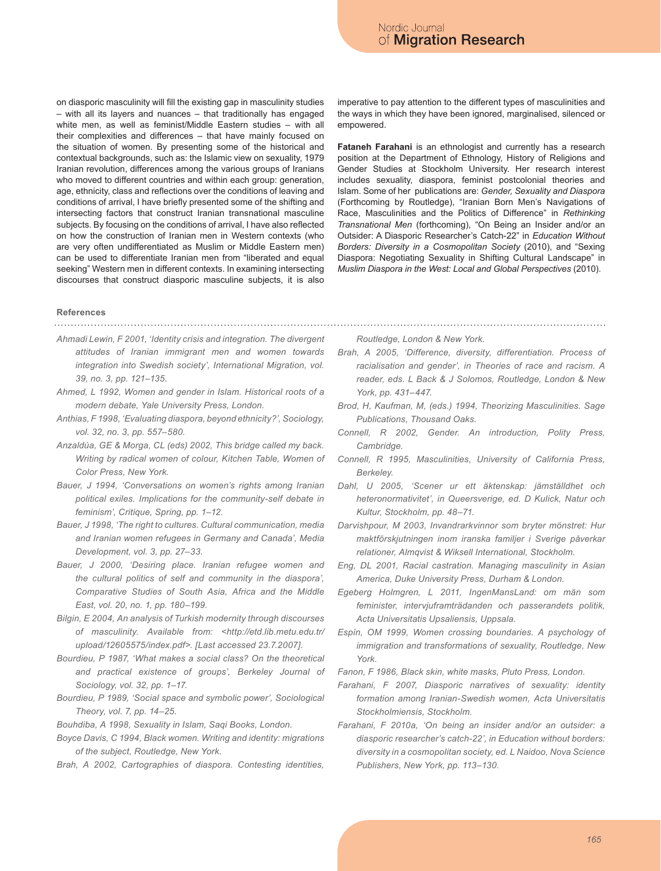on diasporic masculinity will fill the existing gap in masculinity studies – with all its layers and nuances – that traditionally has engaged white men, as well as feminist/Middle Eastern studies – with all their complexities and differences – that have mainly focused on the situation of women. By presenting some of the historical and contextual backgrounds, such as: the Islamic view on sexuality, 1979 Iranian revolution, differences among the various groups of Iranians who moved to different countries and within each group: generation, age, ethnicity, class and reflections over the conditions of leaving and conditions of arrival, I have briefly presented some of the shifting and intersecting factors that construct Iranian transnational masculine subjects. By focusing on the conditions of arrival, I have also reflected on how the construction of Iranian men in Western contexts (who are very often undifferentiated as Muslim or Middle Eastern men) can be used to differentiate Iranian men from "liberated and equal seeking" Western men in different contexts. In examining intersecting discourses that construct diasporic masculine subjects, it is also

imperative to pay attention to the different types of masculinities and the ways in which they have been ignored, marginalised, silenced or empowered.

**Fataneh Farahani** is an ethnologist and currently has a research position at the Department of Ethnology, History of Religions and Gender Studies at Stockholm University. Her research interest includes sexuality, diaspora, feminist postcolonial theories and Islam. Some of her publications are: *Gender, Sexuality and Diaspora* (Forthcoming by Routledge), "Iranian Born Men's Navigations of Race, Masculinities and the Politics of Difference" in *Rethinking Transnational Men* (forthcoming), "On Being an Insider and/or an Outsider: A Diasporic Researcher's Catch-22" in *Education Without Borders: Diversity in a Cosmopolitan Society* (2010), and "Sexing Diaspora: Negotiating Sexuality in Shifting Cultural Landscape" in *Muslim Diaspora in the West: Local and Global Perspectives* (2010).

# **References**

### <span id="page-6-7"></span>*Ahmadi Lewin, F 2001, 'Identity crisis and integration. The divergent attitudes of Iranian immigrant men and women towards integration into Swedish society', International Migration, vol. 39, no. 3, pp. 121–135.*

- <span id="page-6-14"></span>*Ahmed, L 1992, Women and gender in Islam. Historical roots of a modern debate, Yale University Press, London.*
- <span id="page-6-4"></span>*Anthias, F 1998, 'Evaluating diaspora, beyond ethnicity?', Sociology, vol. 32, no. 3, pp. 557–580.*
- <span id="page-6-13"></span>*Anzaldúa, GE & Morga, CL (eds) 2002, This bridge called my back. Writing by radical women of colour, Kitchen Table, Women of Color Press, New York.*
- <span id="page-6-8"></span>*Bauer, J 1994, 'Conversations on women's rights among Iranian political exiles. Implications for the community-self debate in feminism', Critique, Spring, pp. 1–12.*
- <span id="page-6-9"></span>*Bauer, J 1998, 'The right to cultures. Cultural communication, media and Iranian women refugees in Germany and Canada', Media Development, vol. 3, pp. 27–33.*
- <span id="page-6-3"></span>*Bauer, J 2000, 'Desiring place. Iranian refugee women and the cultural politics of self and community in the diaspora', Comparative Studies of South Asia, Africa and the Middle East, vol. 20, no. 1, pp. 180–199.*
- <span id="page-6-15"></span>*Bilgin, E 2004, An analysis of Turkish modernity through discourses of masculinity. Available from: <http://etd.lib.metu.edu.tr/ upload/12605575/index.pdf>. [Last accessed 23.7.2007].*
- <span id="page-6-21"></span>*Bourdieu, P 1987, 'What makes a social class? On the theoretical and practical existence of groups', Berkeley Journal of Sociology, vol. 32, pp. 1–17.*
- <span id="page-6-22"></span>*Bourdieu, P 1989, 'Social space and symbolic power', Sociological Theory, vol. 7, pp. 14–25.*
- <span id="page-6-16"></span>*Bouhdiba, A 1998, Sexuality in Islam, Saqi Books, London.*

<span id="page-6-5"></span>*Brah, A 2002, Cartographies of diaspora. Contesting identities,* 

*Routledge, London & New York.*

- *Brah, A 2005, 'Difference, diversity, differentiation. Process of racialisation and gender', in Theories of race and racism. A reader, eds. L Back & J Solomos, Routledge, London & New York, pp. 431–447.*
- <span id="page-6-1"></span>*Brod, H, Kaufman, M, (eds.) 1994, Theorizing Masculinities. Sage Publications, Thousand Oaks.*
- <span id="page-6-20"></span>*Connell, R 2002, Gender. An introduction, Polity Press, Cambridge.*
- <span id="page-6-2"></span>*Connell, R 1995, Masculinities, University of California Press, Berkeley.*
- <span id="page-6-18"></span>*Dahl, U 2005, 'Scener ur ett äktenskap: jämställdhet och heteronormativitet', in Queersverige, ed. D Kulick, Natur och Kultur, Stockholm, pp. 48–71.*
- <span id="page-6-10"></span>*Darvishpour, M 2003, Invandrarkvinnor som bryter mönstret: Hur maktförskjutningen inom iranska familjer i Sverige påverkar relationer, Almqvist & Wiksell International, Stockholm.*
- *Eng, DL 2001, Racial castration. Managing masculinity in Asian America, Duke University Press, Durham & London.*
- <span id="page-6-19"></span>*Egeberg Holmgren, L 2011, IngenMansLand: om män som feminister, intervjuframträdanden och passerandets politik, Acta Universitatis Upsaliensis, Uppsala.*
- <span id="page-6-6"></span>*Espín, OM 1999, Women crossing boundaries. A psychology of immigration and transformations of sexuality, Routledge, New York.*
- <span id="page-6-0"></span>*Fanon, F 1986, Black skin, white masks, Pluto Press, London.*
- <span id="page-6-11"></span>*Farahani, F 2007, Diasporic narratives of sexuality: identity formation among Iranian-Swedish women, Acta Universitatis Stockholmiensis, Stockholm.*
- <span id="page-6-12"></span>*Farahani, F 2010a, 'On being an insider and/or an outsider: a diasporic researcher's catch-22', in Education without borders: diversity in a cosmopolitan society, ed. L Naidoo, Nova Science Publishers, New York, pp. 113–130.*

<span id="page-6-17"></span>*Boyce Davis, C 1994, Black women. Writing and identity: migrations of the subject, Routledge, New York.*